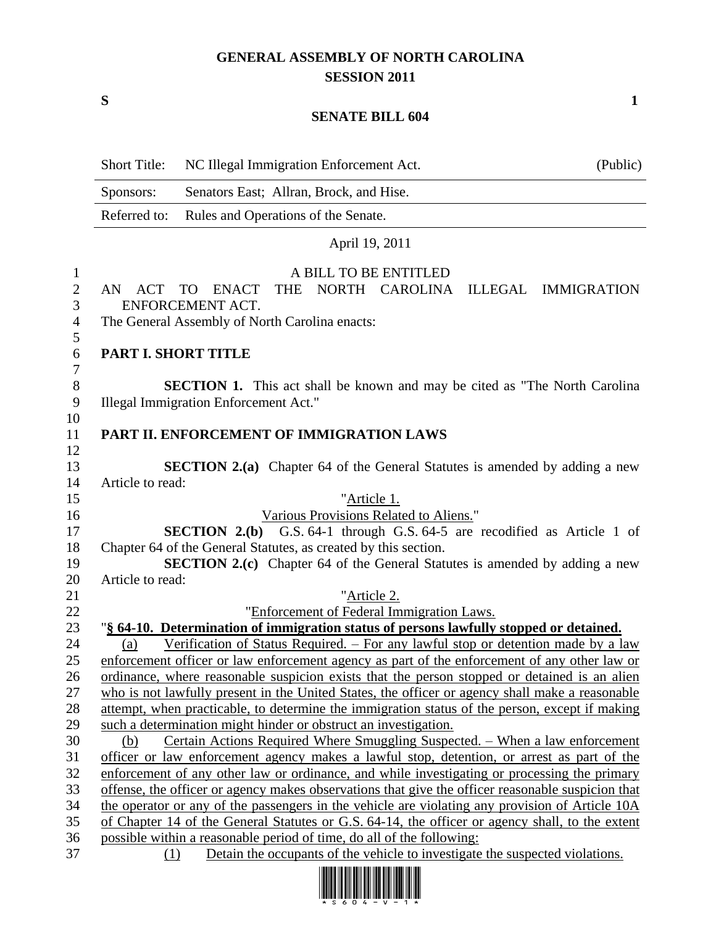## **GENERAL ASSEMBLY OF NORTH CAROLINA SESSION 2011**

**S 1**

## **SENATE BILL 604**

| Sponsors:<br>Senators East; Allran, Brock, and Hise.<br>Referred to:<br>Rules and Operations of the Senate.<br>April 19, 2011                                            |  |
|--------------------------------------------------------------------------------------------------------------------------------------------------------------------------|--|
|                                                                                                                                                                          |  |
|                                                                                                                                                                          |  |
|                                                                                                                                                                          |  |
| A BILL TO BE ENTITLED<br>1                                                                                                                                               |  |
| $\mathbf{2}$<br><b>THE</b><br>NORTH CAROLINA<br><b>ENACT</b><br>ILLEGAL IMMIGRATION<br>AN ACT<br>TO<br>3<br>ENFORCEMENT ACT.                                             |  |
| $\overline{4}$<br>The General Assembly of North Carolina enacts:<br>5                                                                                                    |  |
| $\sqrt{6}$<br>PART I. SHORT TITLE<br>$\tau$                                                                                                                              |  |
| $8\,$<br><b>SECTION 1.</b> This act shall be known and may be cited as "The North Carolina"                                                                              |  |
| 9<br>Illegal Immigration Enforcement Act."                                                                                                                               |  |
| 10                                                                                                                                                                       |  |
| PART II. ENFORCEMENT OF IMMIGRATION LAWS<br>11                                                                                                                           |  |
| 12                                                                                                                                                                       |  |
| 13<br><b>SECTION 2.(a)</b> Chapter 64 of the General Statutes is amended by adding a new                                                                                 |  |
| Article to read:<br>14                                                                                                                                                   |  |
| 15<br>"Article 1.                                                                                                                                                        |  |
| 16<br>Various Provisions Related to Aliens."<br><b>SECTION 2.(b)</b> G.S. 64-1 through G.S. 64-5 are recodified as Article 1 of<br>17                                    |  |
| 18<br>Chapter 64 of the General Statutes, as created by this section.                                                                                                    |  |
| SECTION 2.(c) Chapter 64 of the General Statutes is amended by adding a new<br>19                                                                                        |  |
| 20<br>Article to read:                                                                                                                                                   |  |
| 21<br>"Article 2.                                                                                                                                                        |  |
| 22<br>"Enforcement of Federal Immigration Laws.                                                                                                                          |  |
| "§ 64-10. Determination of immigration status of persons lawfully stopped or detained.<br>23                                                                             |  |
| <u>Verification of Status Required. – For any lawful stop or detention made by a law</u><br>24<br>(a)                                                                    |  |
| 25<br>enforcement officer or law enforcement agency as part of the enforcement of any other law or                                                                       |  |
| 26<br>ordinance, where reasonable suspicion exists that the person stopped or detained is an alien                                                                       |  |
| 27<br>who is not lawfully present in the United States, the officer or agency shall make a reasonable                                                                    |  |
| 28<br>attempt, when practicable, to determine the immigration status of the person, except if making                                                                     |  |
| 29<br>such a determination might hinder or obstruct an investigation.                                                                                                    |  |
| 30<br>Certain Actions Required Where Smuggling Suspected. – When a law enforcement<br>(b)                                                                                |  |
| 31<br>officer or law enforcement agency makes a lawful stop, detention, or arrest as part of the                                                                         |  |
| 32<br>enforcement of any other law or ordinance, and while investigating or processing the primary                                                                       |  |
| 33<br>offense, the officer or agency makes observations that give the officer reasonable suspicion that                                                                  |  |
| the operator or any of the passengers in the vehicle are violating any provision of Article 10A<br>34                                                                    |  |
| 35<br>of Chapter 14 of the General Statutes or G.S. 64-14, the officer or agency shall, to the extent                                                                    |  |
| 36<br>possible within a reasonable period of time, do all of the following:<br>Detain the occupants of the vehicle to investigate the suspected violations.<br>37<br>(1) |  |

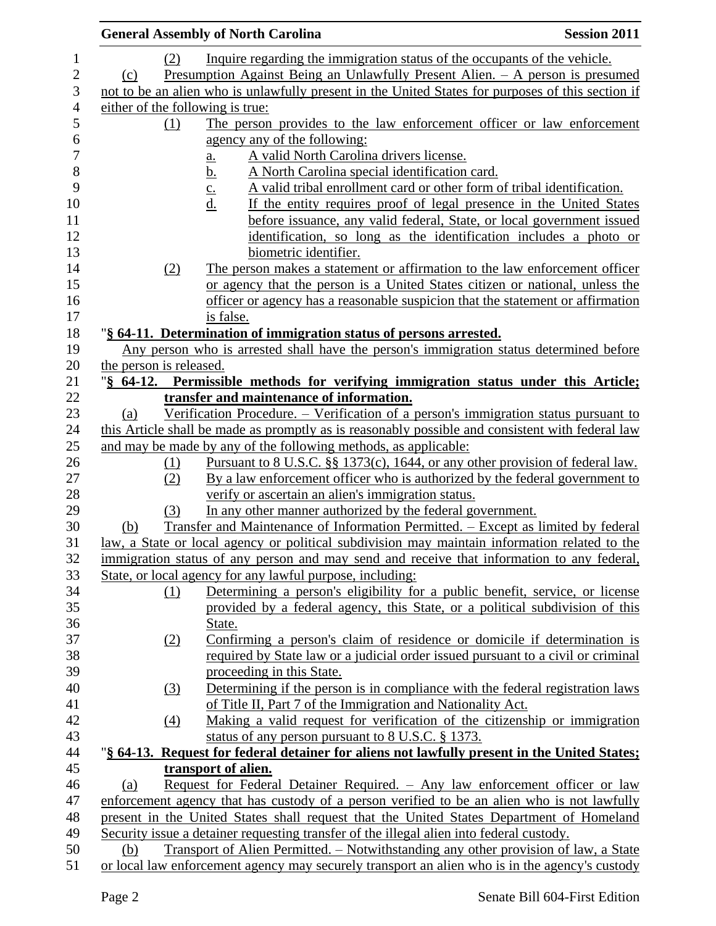|                         |                  | <b>General Assembly of North Carolina</b>                                                         | <b>Session 2011</b> |
|-------------------------|------------------|---------------------------------------------------------------------------------------------------|---------------------|
|                         | (2)              | Inquire regarding the immigration status of the occupants of the vehicle.                         |                     |
| (c)                     |                  | Presumption Against Being an Unlawfully Present Alien. - A person is presumed                     |                     |
|                         |                  | not to be an alien who is unlawfully present in the United States for purposes of this section if |                     |
|                         |                  | either of the following is true:                                                                  |                     |
|                         | (1)              | The person provides to the law enforcement officer or law enforcement                             |                     |
|                         |                  | agency any of the following:                                                                      |                     |
|                         |                  | A valid North Carolina drivers license.<br><u>a.</u>                                              |                     |
|                         |                  | <u>b.</u><br>A North Carolina special identification card.                                        |                     |
|                         |                  | A valid tribal enrollment card or other form of tribal identification.<br>$\mathbf{c}$ .          |                     |
|                         |                  | If the entity requires proof of legal presence in the United States<br><u>d.</u>                  |                     |
|                         |                  | before issuance, any valid federal, State, or local government issued                             |                     |
|                         |                  | identification, so long as the identification includes a photo or                                 |                     |
|                         |                  | biometric identifier.                                                                             |                     |
|                         | (2)              | The person makes a statement or affirmation to the law enforcement officer                        |                     |
|                         |                  | or agency that the person is a United States citizen or national, unless the                      |                     |
|                         |                  | officer or agency has a reasonable suspicion that the statement or affirmation                    |                     |
|                         |                  | is false.                                                                                         |                     |
|                         |                  | "§ 64-11. Determination of immigration status of persons arrested.                                |                     |
|                         |                  | Any person who is arrested shall have the person's immigration status determined before           |                     |
| the person is released. |                  |                                                                                                   |                     |
| $\sqrt{8}$ 64-12.       |                  | Permissible methods for verifying immigration status under this Article;                          |                     |
|                         |                  | transfer and maintenance of information.                                                          |                     |
| (a)                     |                  | Verification Procedure. - Verification of a person's immigration status pursuant to               |                     |
|                         |                  | this Article shall be made as promptly as is reasonably possible and consistent with federal law  |                     |
|                         |                  | and may be made by any of the following methods, as applicable:                                   |                     |
|                         | (1)              | Pursuant to 8 U.S.C. §§ 1373(c), 1644, or any other provision of federal law.                     |                     |
|                         | (2)              | By a law enforcement officer who is authorized by the federal government to                       |                     |
|                         |                  | verify or ascertain an alien's immigration status.                                                |                     |
|                         | (3)              | In any other manner authorized by the federal government.                                         |                     |
| (b)                     |                  | Transfer and Maintenance of Information Permitted. – Except as limited by federal                 |                     |
|                         |                  | law, a State or local agency or political subdivision may maintain information related to the     |                     |
|                         |                  | immigration status of any person and may send and receive that information to any federal,        |                     |
|                         |                  | State, or local agency for any lawful purpose, including:                                         |                     |
|                         | (1)              | Determining a person's eligibility for a public benefit, service, or license                      |                     |
|                         |                  | provided by a federal agency, this State, or a political subdivision of this                      |                     |
|                         |                  | State.                                                                                            |                     |
|                         | (2)              | Confirming a person's claim of residence or domicile if determination is                          |                     |
|                         |                  | required by State law or a judicial order issued pursuant to a civil or criminal                  |                     |
|                         |                  | proceeding in this State.                                                                         |                     |
|                         | (3)              | Determining if the person is in compliance with the federal registration laws                     |                     |
|                         |                  | of Title II, Part 7 of the Immigration and Nationality Act.                                       |                     |
|                         | $\left(4\right)$ | Making a valid request for verification of the citizenship or immigration                         |                     |
|                         |                  | status of any person pursuant to 8 U.S.C. § 1373.                                                 |                     |
|                         |                  | "§ 64-13. Request for federal detainer for aliens not lawfully present in the United States;      |                     |
|                         |                  | transport of alien.                                                                               |                     |
| (a)                     |                  | Request for Federal Detainer Required. - Any law enforcement officer or law                       |                     |
|                         |                  | enforcement agency that has custody of a person verified to be an alien who is not lawfully       |                     |
|                         |                  | present in the United States shall request that the United States Department of Homeland          |                     |
|                         |                  | Security issue a detainer requesting transfer of the illegal alien into federal custody.          |                     |
| (b)                     |                  | Transport of Alien Permitted. – Notwithstanding any other provision of law, a State               |                     |
|                         |                  | or local law enforcement agency may securely transport an alien who is in the agency's custody    |                     |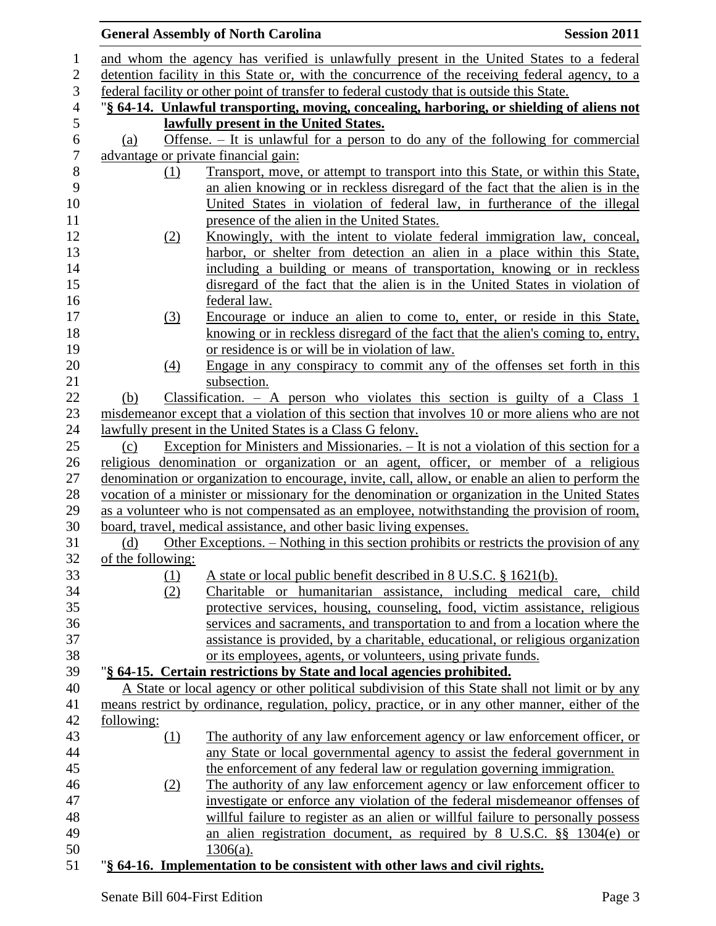|                  |                   | <b>General Assembly of North Carolina</b>                                                                                                                     | <b>Session 2011</b> |
|------------------|-------------------|---------------------------------------------------------------------------------------------------------------------------------------------------------------|---------------------|
| $\mathbf 1$      |                   | and whom the agency has verified is unlawfully present in the United States to a federal                                                                      |                     |
| $\mathbf{2}$     |                   | detention facility in this State or, with the concurrence of the receiving federal agency, to a                                                               |                     |
| 3                |                   | federal facility or other point of transfer to federal custody that is outside this State.                                                                    |                     |
| $\overline{4}$   |                   | "§ 64-14. Unlawful transporting, moving, concealing, harboring, or shielding of aliens not                                                                    |                     |
| 5                |                   | lawfully present in the United States.                                                                                                                        |                     |
| $\boldsymbol{6}$ | (a)               | Offense. $-$ It is unlawful for a person to do any of the following for commercial                                                                            |                     |
| $\tau$           |                   | advantage or private financial gain:                                                                                                                          |                     |
| $8\,$            | (1)               | Transport, move, or attempt to transport into this State, or within this State,                                                                               |                     |
| 9                |                   | an alien knowing or in reckless disregard of the fact that the alien is in the                                                                                |                     |
| 10               |                   | United States in violation of federal law, in furtherance of the illegal                                                                                      |                     |
| 11               |                   | presence of the alien in the United States.                                                                                                                   |                     |
| 12               | (2)               | Knowingly, with the intent to violate federal immigration law, conceal,                                                                                       |                     |
| 13               |                   | harbor, or shelter from detection an alien in a place within this State,                                                                                      |                     |
| 14               |                   | including a building or means of transportation, knowing or in reckless                                                                                       |                     |
| 15               |                   | disregard of the fact that the alien is in the United States in violation of                                                                                  |                     |
| 16               |                   | federal law.                                                                                                                                                  |                     |
| 17               | (3)               | Encourage or induce an alien to come to, enter, or reside in this State,                                                                                      |                     |
| 18               |                   | knowing or in reckless disregard of the fact that the alien's coming to, entry,                                                                               |                     |
| 19               |                   | or residence is or will be in violation of law.                                                                                                               |                     |
| 20               | $\underline{(4)}$ | Engage in any conspiracy to commit any of the offenses set forth in this                                                                                      |                     |
| 21               |                   | subsection.                                                                                                                                                   |                     |
| 22               | (b)               | Classification. $-$ A person who violates this section is guilty of a Class 1                                                                                 |                     |
| 23<br>24         |                   | misdemeanor except that a violation of this section that involves 10 or more aliens who are not<br>lawfully present in the United States is a Class G felony. |                     |
| 25               | (c)               | <u>Exception</u> for Ministers and Missionaries. – It is not a violation of this section for a                                                                |                     |
| 26               |                   | religious denomination or organization or an agent, officer, or member of a religious                                                                         |                     |
| 27               |                   | denomination or organization to encourage, invite, call, allow, or enable an alien to perform the                                                             |                     |
| 28               |                   | vocation of a minister or missionary for the denomination or organization in the United States                                                                |                     |
| 29               |                   | as a volunteer who is not compensated as an employee, notwithstanding the provision of room,                                                                  |                     |
| 30               |                   | board, travel, medical assistance, and other basic living expenses.                                                                                           |                     |
| 31               | (d)               | Other Exceptions. – Nothing in this section prohibits or restricts the provision of any                                                                       |                     |
| 32               | of the following: |                                                                                                                                                               |                     |
| 33               | (1)               | A state or local public benefit described in 8 U.S.C. § 1621(b).                                                                                              |                     |
| 34               | (2)               | Charitable or humanitarian assistance, including medical care, child                                                                                          |                     |
| 35               |                   | protective services, housing, counseling, food, victim assistance, religious                                                                                  |                     |
| 36               |                   | services and sacraments, and transportation to and from a location where the                                                                                  |                     |
| 37               |                   | assistance is provided, by a charitable, educational, or religious organization                                                                               |                     |
| 38               |                   | or its employees, agents, or volunteers, using private funds.                                                                                                 |                     |
| 39               |                   | "§ 64-15. Certain restrictions by State and local agencies prohibited.                                                                                        |                     |
| 40               |                   | A State or local agency or other political subdivision of this State shall not limit or by any                                                                |                     |
| 41               |                   | means restrict by ordinance, regulation, policy, practice, or in any other manner, either of the                                                              |                     |
| 42               | following:        |                                                                                                                                                               |                     |
| 43               | (1)               | The authority of any law enforcement agency or law enforcement officer, or                                                                                    |                     |
| 44<br>45         |                   | any State or local governmental agency to assist the federal government in                                                                                    |                     |
| 46               |                   | the enforcement of any federal law or regulation governing immigration.<br>The authority of any law enforcement agency or law enforcement officer to          |                     |
| 47               | (2)               | investigate or enforce any violation of the federal misdemeanor offenses of                                                                                   |                     |
| 48               |                   | willful failure to register as an alien or willful failure to personally possess                                                                              |                     |
| 49               |                   | an alien registration document, as required by 8 U.S.C. §§ 1304(e) or                                                                                         |                     |
| 50               |                   | $1306(a)$ .                                                                                                                                                   |                     |
| 51               |                   | "§ 64-16. Implementation to be consistent with other laws and civil rights.                                                                                   |                     |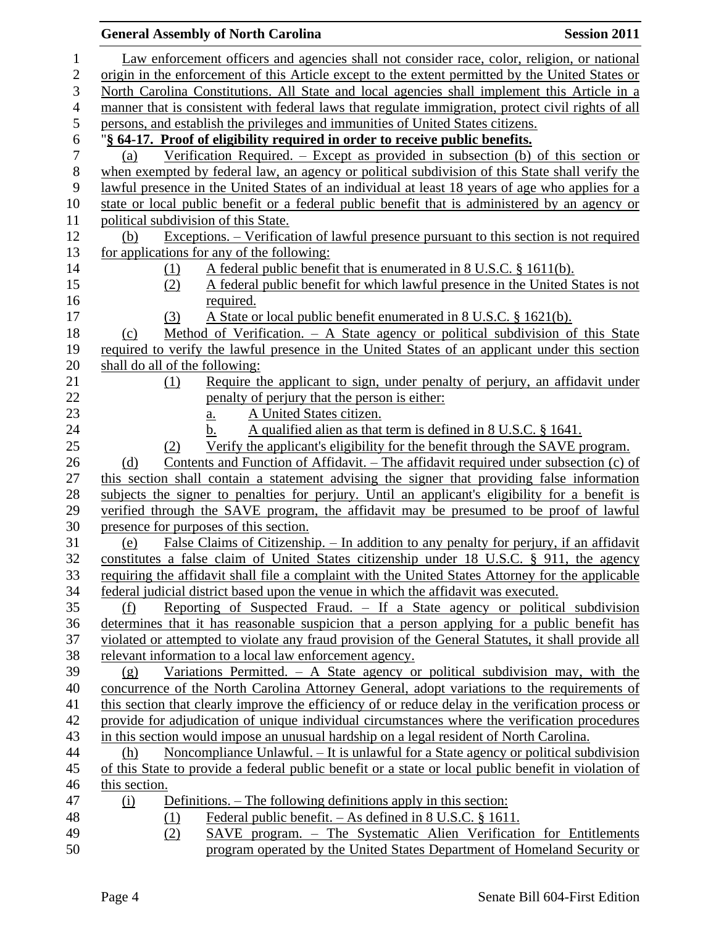|                  | <b>General Assembly of North Carolina</b>                                                                                        | <b>Session 2011</b> |
|------------------|----------------------------------------------------------------------------------------------------------------------------------|---------------------|
| 1                | Law enforcement officers and agencies shall not consider race, color, religion, or national                                      |                     |
| $\boldsymbol{2}$ | origin in the enforcement of this Article except to the extent permitted by the United States or                                 |                     |
| $\mathfrak{Z}$   | North Carolina Constitutions. All State and local agencies shall implement this Article in a                                     |                     |
| $\overline{4}$   | manner that is consistent with federal laws that regulate immigration, protect civil rights of all                               |                     |
| 5                | persons, and establish the privileges and immunities of United States citizens.                                                  |                     |
| 6                | "§ 64-17. Proof of eligibility required in order to receive public benefits.                                                     |                     |
| $\boldsymbol{7}$ | Verification Required. – Except as provided in subsection (b) of this section or<br>(a)                                          |                     |
| $8\,$            | when exempted by federal law, an agency or political subdivision of this State shall verify the                                  |                     |
| 9                | lawful presence in the United States of an individual at least 18 years of age who applies for a                                 |                     |
| 10               | state or local public benefit or a federal public benefit that is administered by an agency or                                   |                     |
| 11               | political subdivision of this State.                                                                                             |                     |
| 12               | Exceptions. – Verification of lawful presence pursuant to this section is not required<br>(b)                                    |                     |
| 13               | for applications for any of the following:                                                                                       |                     |
| 14               | A federal public benefit that is enumerated in 8 U.S.C. § 1611(b).<br>(1)                                                        |                     |
| 15               | A federal public benefit for which lawful presence in the United States is not<br>(2)                                            |                     |
| 16               | required.                                                                                                                        |                     |
| 17               | A State or local public benefit enumerated in 8 U.S.C. § 1621(b).<br>(3)                                                         |                     |
| 18               | Method of Verification. - A State agency or political subdivision of this State<br>(c)                                           |                     |
| 19               | required to verify the lawful presence in the United States of an applicant under this section                                   |                     |
| 20               | shall do all of the following:                                                                                                   |                     |
| 21               | Require the applicant to sign, under penalty of perjury, an affidavit under<br>(1)                                               |                     |
| 22               | penalty of perjury that the person is either:                                                                                    |                     |
| 23               | A United States citizen.<br>a.                                                                                                   |                     |
| 24               | A qualified alien as that term is defined in 8 U.S.C. § 1641.<br>b.                                                              |                     |
| 25               | Verify the applicant's eligibility for the benefit through the SAVE program.<br>(2)                                              |                     |
| 26               | Contents and Function of Affidavit. – The affidavit required under subsection (c) of<br>(d)                                      |                     |
| 27               | this section shall contain a statement advising the signer that providing false information                                      |                     |
| 28<br>29         | subjects the signer to penalties for perjury. Until an applicant's eligibility for a benefit is                                  |                     |
| 30               | verified through the SAVE program, the affidavit may be presumed to be proof of lawful<br>presence for purposes of this section. |                     |
| 31               | False Claims of Citizenship. – In addition to any penalty for perjury, if an affidavit<br>(e)                                    |                     |
| 32               | constitutes a false claim of United States citizenship under 18 U.S.C. § 911, the agency                                         |                     |
| 33               | requiring the affidavit shall file a complaint with the United States Attorney for the applicable                                |                     |
| 34               | federal judicial district based upon the venue in which the affidavit was executed.                                              |                     |
| 35               | Reporting of Suspected Fraud. – If a State agency or political subdivision<br>(f)                                                |                     |
| 36               | determines that it has reasonable suspicion that a person applying for a public benefit has                                      |                     |
| 37               | violated or attempted to violate any fraud provision of the General Statutes, it shall provide all                               |                     |
| 38               | relevant information to a local law enforcement agency.                                                                          |                     |
| 39               | Variations Permitted. $-$ A State agency or political subdivision may, with the<br>(g)                                           |                     |
| 40               | concurrence of the North Carolina Attorney General, adopt variations to the requirements of                                      |                     |
| 41               | this section that clearly improve the efficiency of or reduce delay in the verification process or                               |                     |
| 42               | provide for adjudication of unique individual circumstances where the verification procedures                                    |                     |
| 43               | in this section would impose an unusual hardship on a legal resident of North Carolina.                                          |                     |
| 44               | Noncompliance Unlawful. – It is unlawful for a State agency or political subdivision<br>(h)                                      |                     |
| 45               | of this State to provide a federal public benefit or a state or local public benefit in violation of                             |                     |
| 46               | this section.                                                                                                                    |                     |
| 47               | Definitions. – The following definitions apply in this section:<br>(i)                                                           |                     |
| 48               | Federal public benefit. $-$ As defined in 8 U.S.C. § 1611.<br>(1)                                                                |                     |
| 49               | SAVE program. – The Systematic Alien Verification for Entitlements<br>(2)                                                        |                     |
| 50               | program operated by the United States Department of Homeland Security or                                                         |                     |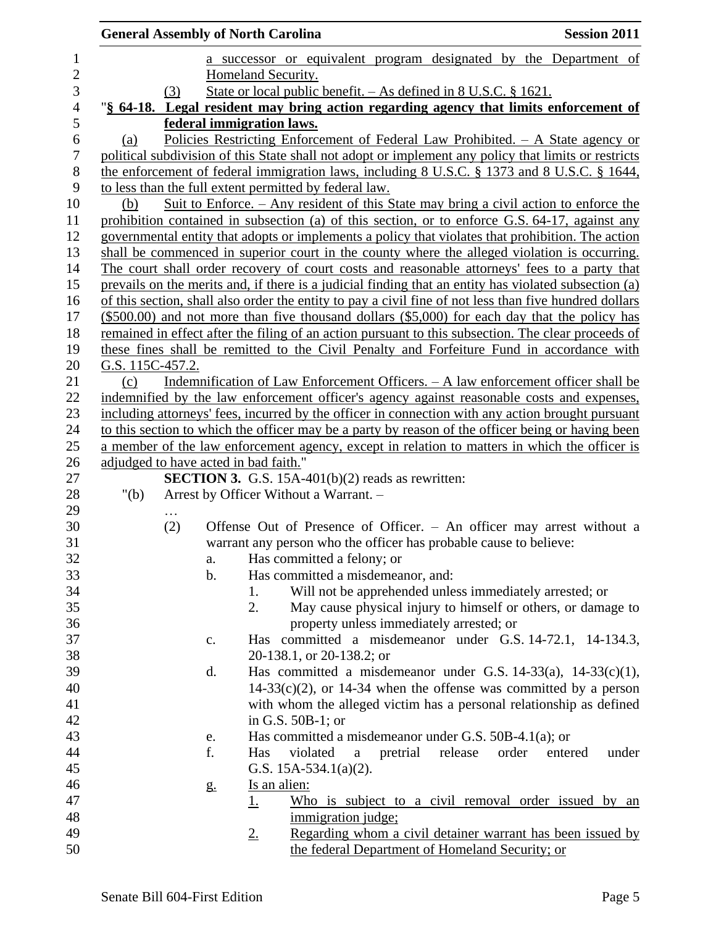|                            | <b>General Assembly of North Carolina</b> |     |                |             |                                                                   |            |         |       | <b>Session 2011</b>                                                                                    |
|----------------------------|-------------------------------------------|-----|----------------|-------------|-------------------------------------------------------------------|------------|---------|-------|--------------------------------------------------------------------------------------------------------|
| $\mathbf{1}$<br>$\sqrt{2}$ |                                           |     |                |             | Homeland Security.                                                |            |         |       | a successor or equivalent program designated by the Department of                                      |
| 3                          |                                           | (3) |                |             | State or local public benefit. - As defined in 8 U.S.C. § 1621.   |            |         |       |                                                                                                        |
| $\overline{4}$             |                                           |     |                |             |                                                                   |            |         |       | "\\$ 64-18. Legal resident may bring action regarding agency that limits enforcement of                |
| 5                          |                                           |     |                |             | federal immigration laws.                                         |            |         |       |                                                                                                        |
| 6                          | (a)                                       |     |                |             |                                                                   |            |         |       | Policies Restricting Enforcement of Federal Law Prohibited. - A State agency or                        |
| $\boldsymbol{7}$           |                                           |     |                |             |                                                                   |            |         |       | political subdivision of this State shall not adopt or implement any policy that limits or restricts   |
| $8\,$                      |                                           |     |                |             |                                                                   |            |         |       | the enforcement of federal immigration laws, including 8 U.S.C. § 1373 and 8 U.S.C. § 1644,            |
| 9                          |                                           |     |                |             | to less than the full extent permitted by federal law.            |            |         |       |                                                                                                        |
| 10                         | (b)                                       |     |                |             |                                                                   |            |         |       | <u>Suit to Enforce. – Any resident of this State may bring a civil action to enforce the</u>           |
| 11                         |                                           |     |                |             |                                                                   |            |         |       | prohibition contained in subsection (a) of this section, or to enforce G.S. 64-17, against any         |
| 12                         |                                           |     |                |             |                                                                   |            |         |       | governmental entity that adopts or implements a policy that violates that prohibition. The action      |
| 13                         |                                           |     |                |             |                                                                   |            |         |       | shall be commenced in superior court in the county where the alleged violation is occurring.           |
| 14                         |                                           |     |                |             |                                                                   |            |         |       | The court shall order recovery of court costs and reasonable attorneys' fees to a party that           |
| 15                         |                                           |     |                |             |                                                                   |            |         |       | prevails on the merits and, if there is a judicial finding that an entity has violated subsection (a)  |
| 16                         |                                           |     |                |             |                                                                   |            |         |       | of this section, shall also order the entity to pay a civil fine of not less than five hundred dollars |
| 17                         |                                           |     |                |             |                                                                   |            |         |       | $(\$500.00)$ and not more than five thousand dollars $(\$5,000)$ for each day that the policy has      |
| 18                         |                                           |     |                |             |                                                                   |            |         |       | remained in effect after the filing of an action pursuant to this subsection. The clear proceeds of    |
| 19                         |                                           |     |                |             |                                                                   |            |         |       | these fines shall be remitted to the Civil Penalty and Forfeiture Fund in accordance with              |
| 20                         | G.S. 115C-457.2.                          |     |                |             |                                                                   |            |         |       |                                                                                                        |
| 21                         | (c)                                       |     |                |             |                                                                   |            |         |       | Indemnification of Law Enforcement Officers. - A law enforcement officer shall be                      |
| 22                         |                                           |     |                |             |                                                                   |            |         |       | indemnified by the law enforcement officer's agency against reasonable costs and expenses,             |
| 23                         |                                           |     |                |             |                                                                   |            |         |       | including attorneys' fees, incurred by the officer in connection with any action brought pursuant      |
| 24                         |                                           |     |                |             |                                                                   |            |         |       | to this section to which the officer may be a party by reason of the officer being or having been      |
| 25                         |                                           |     |                |             |                                                                   |            |         |       | a member of the law enforcement agency, except in relation to matters in which the officer is          |
| 26                         | adjudged to have acted in bad faith."     |     |                |             |                                                                   |            |         |       |                                                                                                        |
| 27                         |                                           |     |                |             | <b>SECTION 3.</b> G.S. 15A-401(b) $(2)$ reads as rewritten:       |            |         |       |                                                                                                        |
| 28                         | " $(b)$                                   |     |                |             | Arrest by Officer Without a Warrant. -                            |            |         |       |                                                                                                        |
| 29                         |                                           | .   |                |             |                                                                   |            |         |       |                                                                                                        |
| 30                         |                                           | (2) |                |             |                                                                   |            |         |       | Offense Out of Presence of Officer. - An officer may arrest without a                                  |
| 31                         |                                           |     |                |             | warrant any person who the officer has probable cause to believe: |            |         |       |                                                                                                        |
| 32                         |                                           |     | a.             |             | Has committed a felony; or                                        |            |         |       |                                                                                                        |
| 33                         |                                           |     | b.             |             | Has committed a misdemeanor, and:                                 |            |         |       |                                                                                                        |
| 34                         |                                           |     |                | 1.          | Will not be apprehended unless immediately arrested; or           |            |         |       |                                                                                                        |
| 35                         |                                           |     |                | 2.          |                                                                   |            |         |       | May cause physical injury to himself or others, or damage to                                           |
| 36                         |                                           |     |                |             | property unless immediately arrested; or                          |            |         |       |                                                                                                        |
| 37                         |                                           |     | c.             |             |                                                                   |            |         |       | Has committed a misdemeanor under G.S. 14-72.1, 14-134.3,                                              |
| 38                         |                                           |     |                |             | 20-138.1, or 20-138.2; or                                         |            |         |       |                                                                                                        |
| 39                         |                                           |     | d.             |             |                                                                   |            |         |       | Has committed a misdemeanor under G.S. $14-33(a)$ , $14-33(c)(1)$ ,                                    |
| 40                         |                                           |     |                |             |                                                                   |            |         |       | $14-33(c)(2)$ , or 14-34 when the offense was committed by a person                                    |
| 41                         |                                           |     |                |             |                                                                   |            |         |       | with whom the alleged victim has a personal relationship as defined                                    |
| 42                         |                                           |     |                |             | in G.S. $50B-1$ ; or                                              |            |         |       |                                                                                                        |
| 43                         |                                           |     | e.             |             | Has committed a misdemeanor under G.S. $50B-4.1(a)$ ; or          |            |         |       |                                                                                                        |
| 44                         |                                           |     | f.             | Has         | violated                                                          | a pretrial | release | order | under<br>entered                                                                                       |
| 45                         |                                           |     |                |             | G.S. $15A-534.1(a)(2)$ .                                          |            |         |       |                                                                                                        |
| 46                         |                                           |     | g <sub>1</sub> |             | <u>Is an alien:</u>                                               |            |         |       |                                                                                                        |
| 47                         |                                           |     |                | <u>1.</u>   |                                                                   |            |         |       | Who is subject to a civil removal order issued by an                                                   |
| 48                         |                                           |     |                |             | immigration judge;                                                |            |         |       |                                                                                                        |
| 49                         |                                           |     |                | $2_{\cdot}$ |                                                                   |            |         |       | Regarding whom a civil detainer warrant has been issued by                                             |
| 50                         |                                           |     |                |             | the federal Department of Homeland Security; or                   |            |         |       |                                                                                                        |